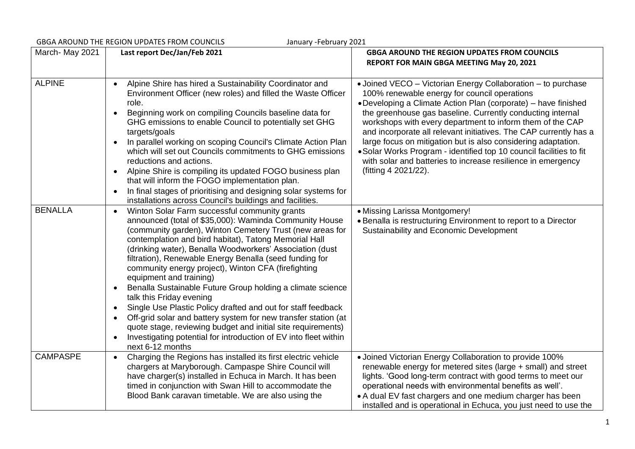| January - February 2021<br><b>GBGA AROUND THE REGION UPDATES FROM COUNCILS</b> |                                                                                                                                                                                                                                                                                                                                                                                                                                                                                                                                                                                                                                                                                                                                                                                                                                                                                            |                                                                                                                                                                                                                                                                                                                                                                                                                                                                                                                                                                                                                |  |
|--------------------------------------------------------------------------------|--------------------------------------------------------------------------------------------------------------------------------------------------------------------------------------------------------------------------------------------------------------------------------------------------------------------------------------------------------------------------------------------------------------------------------------------------------------------------------------------------------------------------------------------------------------------------------------------------------------------------------------------------------------------------------------------------------------------------------------------------------------------------------------------------------------------------------------------------------------------------------------------|----------------------------------------------------------------------------------------------------------------------------------------------------------------------------------------------------------------------------------------------------------------------------------------------------------------------------------------------------------------------------------------------------------------------------------------------------------------------------------------------------------------------------------------------------------------------------------------------------------------|--|
| March-May 2021                                                                 | Last report Dec/Jan/Feb 2021                                                                                                                                                                                                                                                                                                                                                                                                                                                                                                                                                                                                                                                                                                                                                                                                                                                               | <b>GBGA AROUND THE REGION UPDATES FROM COUNCILS</b><br>REPORT FOR MAIN GBGA MEETING May 20, 2021                                                                                                                                                                                                                                                                                                                                                                                                                                                                                                               |  |
|                                                                                |                                                                                                                                                                                                                                                                                                                                                                                                                                                                                                                                                                                                                                                                                                                                                                                                                                                                                            |                                                                                                                                                                                                                                                                                                                                                                                                                                                                                                                                                                                                                |  |
| <b>ALPINE</b>                                                                  | Alpine Shire has hired a Sustainability Coordinator and<br>$\bullet$<br>Environment Officer (new roles) and filled the Waste Officer<br>role.<br>Beginning work on compiling Councils baseline data for<br>$\bullet$<br>GHG emissions to enable Council to potentially set GHG<br>targets/goals<br>In parallel working on scoping Council's Climate Action Plan<br>which will set out Councils commitments to GHG emissions<br>reductions and actions.<br>Alpine Shire is compiling its updated FOGO business plan<br>$\bullet$<br>that will inform the FOGO implementation plan.<br>In final stages of prioritising and designing solar systems for<br>$\bullet$<br>installations across Council's buildings and facilities.                                                                                                                                                              | • Joined VECO - Victorian Energy Collaboration - to purchase<br>100% renewable energy for council operations<br>• Developing a Climate Action Plan (corporate) – have finished<br>the greenhouse gas baseline. Currently conducting internal<br>workshops with every department to inform them of the CAP<br>and incorporate all relevant initiatives. The CAP currently has a<br>large focus on mitigation but is also considering adaptation.<br>• Solar Works Program - identified top 10 council facilities to fit<br>with solar and batteries to increase resilience in emergency<br>(fitting 4 2021/22). |  |
| <b>BENALLA</b>                                                                 | Winton Solar Farm successful community grants<br>$\bullet$<br>announced (total of \$35,000): Waminda Community House<br>(community garden), Winton Cemetery Trust (new areas for<br>contemplation and bird habitat), Tatong Memorial Hall<br>(drinking water), Benalla Woodworkers' Association (dust<br>filtration), Renewable Energy Benalla (seed funding for<br>community energy project), Winton CFA (firefighting<br>equipment and training)<br>Benalla Sustainable Future Group holding a climate science<br>$\bullet$<br>talk this Friday evening<br>Single Use Plastic Policy drafted and out for staff feedback<br>$\bullet$<br>Off-grid solar and battery system for new transfer station (at<br>$\bullet$<br>quote stage, reviewing budget and initial site requirements)<br>Investigating potential for introduction of EV into fleet within<br>$\bullet$<br>next 6-12 months | • Missing Larissa Montgomery!<br>• Benalla is restructuring Environment to report to a Director<br>Sustainability and Economic Development                                                                                                                                                                                                                                                                                                                                                                                                                                                                     |  |
| <b>CAMPASPE</b>                                                                | Charging the Regions has installed its first electric vehicle<br>$\bullet$<br>chargers at Maryborough. Campaspe Shire Council will<br>have charger(s) installed in Echuca in March. It has been<br>timed in conjunction with Swan Hill to accommodate the<br>Blood Bank caravan timetable. We are also using the                                                                                                                                                                                                                                                                                                                                                                                                                                                                                                                                                                           | • Joined Victorian Energy Collaboration to provide 100%<br>renewable energy for metered sites (large + small) and street<br>lights. 'Good long-term contract with good terms to meet our<br>operational needs with environmental benefits as well'.<br>• A dual EV fast chargers and one medium charger has been<br>installed and is operational in Echuca, you just need to use the                                                                                                                                                                                                                           |  |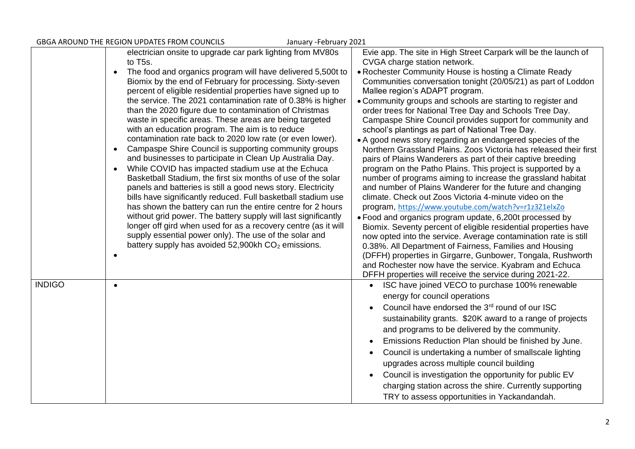| GBGA AROUND THE REGION UPDATES FROM COUNCILS<br>January - February 2021 |                                                                                                                               |                                                                                                                     |
|-------------------------------------------------------------------------|-------------------------------------------------------------------------------------------------------------------------------|---------------------------------------------------------------------------------------------------------------------|
|                                                                         | electrician onsite to upgrade car park lighting from MV80s                                                                    | Evie app. The site in High Street Carpark will be the launch of                                                     |
|                                                                         | to T <sub>5s</sub> .                                                                                                          | CVGA charge station network.                                                                                        |
|                                                                         | The food and organics program will have delivered 5,500t to<br>$\bullet$                                                      | • Rochester Community House is hosting a Climate Ready                                                              |
|                                                                         | Biomix by the end of February for processing. Sixty-seven                                                                     | Communities conversation tonight (20/05/21) as part of Loddon                                                       |
|                                                                         | percent of eligible residential properties have signed up to                                                                  | Mallee region's ADAPT program.                                                                                      |
|                                                                         | the service. The 2021 contamination rate of 0.38% is higher                                                                   | • Community groups and schools are starting to register and                                                         |
|                                                                         | than the 2020 figure due to contamination of Christmas                                                                        | order trees for National Tree Day and Schools Tree Day.                                                             |
|                                                                         | waste in specific areas. These areas are being targeted                                                                       | Campaspe Shire Council provides support for community and                                                           |
|                                                                         | with an education program. The aim is to reduce                                                                               | school's plantings as part of National Tree Day.                                                                    |
|                                                                         | contamination rate back to 2020 low rate (or even lower).                                                                     | • A good news story regarding an endangered species of the                                                          |
|                                                                         | Campaspe Shire Council is supporting community groups<br>$\bullet$                                                            | Northern Grassland Plains. Zoos Victoria has released their first                                                   |
|                                                                         | and businesses to participate in Clean Up Australia Day.                                                                      | pairs of Plains Wanderers as part of their captive breeding                                                         |
|                                                                         | While COVID has impacted stadium use at the Echuca<br>$\bullet$                                                               | program on the Patho Plains. This project is supported by a                                                         |
|                                                                         | Basketball Stadium, the first six months of use of the solar                                                                  | number of programs aiming to increase the grassland habitat                                                         |
|                                                                         | panels and batteries is still a good news story. Electricity<br>bills have significantly reduced. Full basketball stadium use | and number of Plains Wanderer for the future and changing<br>climate. Check out Zoos Victoria 4-minute video on the |
|                                                                         | has shown the battery can run the entire centre for 2 hours                                                                   | program, https://www.youtube.com/watch?v=r1z3Z1elxZo                                                                |
|                                                                         | without grid power. The battery supply will last significantly                                                                | . Food and organics program update, 6,200t processed by                                                             |
|                                                                         | longer off gird when used for as a recovery centre (as it will                                                                | Biomix. Seventy percent of eligible residential properties have                                                     |
|                                                                         | supply essential power only). The use of the solar and                                                                        | now opted into the service. Average contamination rate is still                                                     |
|                                                                         | battery supply has avoided $52,900$ kh $CO2$ emissions.                                                                       | 0.38%. All Department of Fairness, Families and Housing                                                             |
|                                                                         |                                                                                                                               | (DFFH) properties in Girgarre, Gunbower, Tongala, Rushworth                                                         |
|                                                                         |                                                                                                                               | and Rochester now have the service. Kyabram and Echuca                                                              |
|                                                                         |                                                                                                                               | DFFH properties will receive the service during 2021-22.                                                            |
| <b>INDIGO</b>                                                           | $\bullet$                                                                                                                     | ISC have joined VECO to purchase 100% renewable<br>$\bullet$                                                        |
|                                                                         |                                                                                                                               | energy for council operations                                                                                       |
|                                                                         |                                                                                                                               | Council have endorsed the 3 <sup>rd</sup> round of our ISC                                                          |
|                                                                         |                                                                                                                               | sustainability grants. \$20K award to a range of projects                                                           |
|                                                                         |                                                                                                                               | and programs to be delivered by the community.                                                                      |
|                                                                         |                                                                                                                               |                                                                                                                     |
|                                                                         |                                                                                                                               | Emissions Reduction Plan should be finished by June.                                                                |
|                                                                         |                                                                                                                               | Council is undertaking a number of smallscale lighting                                                              |
|                                                                         |                                                                                                                               | upgrades across multiple council building                                                                           |
|                                                                         |                                                                                                                               | Council is investigation the opportunity for public EV                                                              |
|                                                                         |                                                                                                                               | charging station across the shire. Currently supporting                                                             |
|                                                                         |                                                                                                                               | TRY to assess opportunities in Yackandandah.                                                                        |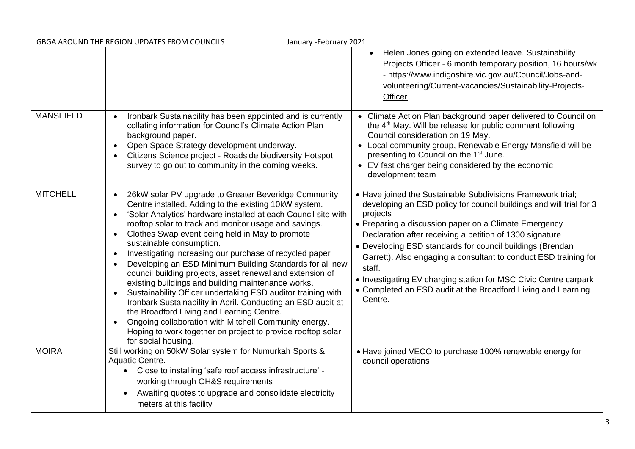| <b>GBGA AROUND THE REGION UPDATES FROM COUNCILS</b><br>January - February 2021 |                                                                                                                                                                                                                                                                                                                                                                                                                                                                                                                                                                                                                                                                                                                                                                                                                                                                                                                                                                             |                                                                                                                                                                                                                                                                                                                                                                                                                                                                                                                                                                |  |
|--------------------------------------------------------------------------------|-----------------------------------------------------------------------------------------------------------------------------------------------------------------------------------------------------------------------------------------------------------------------------------------------------------------------------------------------------------------------------------------------------------------------------------------------------------------------------------------------------------------------------------------------------------------------------------------------------------------------------------------------------------------------------------------------------------------------------------------------------------------------------------------------------------------------------------------------------------------------------------------------------------------------------------------------------------------------------|----------------------------------------------------------------------------------------------------------------------------------------------------------------------------------------------------------------------------------------------------------------------------------------------------------------------------------------------------------------------------------------------------------------------------------------------------------------------------------------------------------------------------------------------------------------|--|
|                                                                                |                                                                                                                                                                                                                                                                                                                                                                                                                                                                                                                                                                                                                                                                                                                                                                                                                                                                                                                                                                             | Helen Jones going on extended leave. Sustainability<br>$\bullet$<br>Projects Officer - 6 month temporary position, 16 hours/wk<br>- https://www.indigoshire.vic.gov.au/Council/Jobs-and-<br>volunteering/Current-vacancies/Sustainability-Projects-<br>Officer                                                                                                                                                                                                                                                                                                 |  |
| <b>MANSFIELD</b>                                                               | Ironbark Sustainability has been appointed and is currently<br>$\bullet$<br>collating information for Council's Climate Action Plan<br>background paper.<br>Open Space Strategy development underway.<br>$\bullet$<br>Citizens Science project - Roadside biodiversity Hotspot<br>$\bullet$<br>survey to go out to community in the coming weeks.                                                                                                                                                                                                                                                                                                                                                                                                                                                                                                                                                                                                                           | • Climate Action Plan background paper delivered to Council on<br>the 4 <sup>th</sup> May. Will be release for public comment following<br>Council consideration on 19 May.<br>• Local community group, Renewable Energy Mansfield will be<br>presenting to Council on the 1 <sup>st</sup> June.<br>• EV fast charger being considered by the economic<br>development team                                                                                                                                                                                     |  |
| <b>MITCHELL</b>                                                                | 26kW solar PV upgrade to Greater Beveridge Community<br>$\bullet$<br>Centre installed. Adding to the existing 10kW system.<br>'Solar Analytics' hardware installed at each Council site with<br>$\bullet$<br>rooftop solar to track and monitor usage and savings.<br>Clothes Swap event being held in May to promote<br>$\bullet$<br>sustainable consumption.<br>Investigating increasing our purchase of recycled paper<br>$\bullet$<br>Developing an ESD Minimum Building Standards for all new<br>council building projects, asset renewal and extension of<br>existing buildings and building maintenance works.<br>Sustainability Officer undertaking ESD auditor training with<br>$\bullet$<br>Ironbark Sustainability in April. Conducting an ESD audit at<br>the Broadford Living and Learning Centre.<br>Ongoing collaboration with Mitchell Community energy.<br>$\bullet$<br>Hoping to work together on project to provide rooftop solar<br>for social housing. | • Have joined the Sustainable Subdivisions Framework trial;<br>developing an ESD policy for council buildings and will trial for 3<br>projects<br>• Preparing a discussion paper on a Climate Emergency<br>Declaration after receiving a petition of 1300 signature<br>• Developing ESD standards for council buildings (Brendan<br>Garrett). Also engaging a consultant to conduct ESD training for<br>staff.<br>• Investigating EV charging station for MSC Civic Centre carpark<br>• Completed an ESD audit at the Broadford Living and Learning<br>Centre. |  |
| <b>MOIRA</b>                                                                   | Still working on 50kW Solar system for Numurkah Sports &<br>Aquatic Centre.<br>Close to installing 'safe roof access infrastructure' -<br>$\bullet$<br>working through OH&S requirements<br>Awaiting quotes to upgrade and consolidate electricity<br>$\bullet$<br>meters at this facility                                                                                                                                                                                                                                                                                                                                                                                                                                                                                                                                                                                                                                                                                  | • Have joined VECO to purchase 100% renewable energy for<br>council operations                                                                                                                                                                                                                                                                                                                                                                                                                                                                                 |  |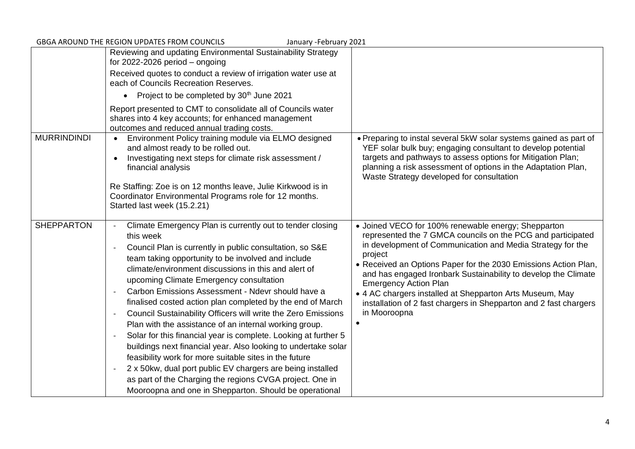| <b>GBGA AROUND THE REGION UPDATES FROM COUNCILS</b><br>January - February 2021 |                                                                                                                                                                                                                                                                                                                                                                                                                                                                                                                                                                                                                                                                                                                                                                                                                                                                                                                              |                                                                                                                                                                                                                                                                                                                                                                                                                                                                                                                                |
|--------------------------------------------------------------------------------|------------------------------------------------------------------------------------------------------------------------------------------------------------------------------------------------------------------------------------------------------------------------------------------------------------------------------------------------------------------------------------------------------------------------------------------------------------------------------------------------------------------------------------------------------------------------------------------------------------------------------------------------------------------------------------------------------------------------------------------------------------------------------------------------------------------------------------------------------------------------------------------------------------------------------|--------------------------------------------------------------------------------------------------------------------------------------------------------------------------------------------------------------------------------------------------------------------------------------------------------------------------------------------------------------------------------------------------------------------------------------------------------------------------------------------------------------------------------|
|                                                                                | Reviewing and updating Environmental Sustainability Strategy<br>for $2022 - 2026$ period $-$ ongoing                                                                                                                                                                                                                                                                                                                                                                                                                                                                                                                                                                                                                                                                                                                                                                                                                         |                                                                                                                                                                                                                                                                                                                                                                                                                                                                                                                                |
|                                                                                | Received quotes to conduct a review of irrigation water use at<br>each of Councils Recreation Reserves.                                                                                                                                                                                                                                                                                                                                                                                                                                                                                                                                                                                                                                                                                                                                                                                                                      |                                                                                                                                                                                                                                                                                                                                                                                                                                                                                                                                |
|                                                                                | Project to be completed by 30 <sup>th</sup> June 2021<br>$\bullet$                                                                                                                                                                                                                                                                                                                                                                                                                                                                                                                                                                                                                                                                                                                                                                                                                                                           |                                                                                                                                                                                                                                                                                                                                                                                                                                                                                                                                |
|                                                                                | Report presented to CMT to consolidate all of Councils water<br>shares into 4 key accounts; for enhanced management<br>outcomes and reduced annual trading costs.                                                                                                                                                                                                                                                                                                                                                                                                                                                                                                                                                                                                                                                                                                                                                            |                                                                                                                                                                                                                                                                                                                                                                                                                                                                                                                                |
| <b>MURRINDINDI</b>                                                             | Environment Policy training module via ELMO designed<br>and almost ready to be rolled out.<br>Investigating next steps for climate risk assessment /<br>$\bullet$<br>financial analysis<br>Re Staffing: Zoe is on 12 months leave, Julie Kirkwood is in                                                                                                                                                                                                                                                                                                                                                                                                                                                                                                                                                                                                                                                                      | • Preparing to instal several 5kW solar systems gained as part of<br>YEF solar bulk buy; engaging consultant to develop potential<br>targets and pathways to assess options for Mitigation Plan;<br>planning a risk assessment of options in the Adaptation Plan,<br>Waste Strategy developed for consultation                                                                                                                                                                                                                 |
|                                                                                | Coordinator Environmental Programs role for 12 months.<br>Started last week (15.2.21)                                                                                                                                                                                                                                                                                                                                                                                                                                                                                                                                                                                                                                                                                                                                                                                                                                        |                                                                                                                                                                                                                                                                                                                                                                                                                                                                                                                                |
| <b>SHEPPARTON</b>                                                              | Climate Emergency Plan is currently out to tender closing<br>this week<br>Council Plan is currently in public consultation, so S&E<br>team taking opportunity to be involved and include<br>climate/environment discussions in this and alert of<br>upcoming Climate Emergency consultation<br>Carbon Emissions Assessment - Ndevr should have a<br>finalised costed action plan completed by the end of March<br>Council Sustainability Officers will write the Zero Emissions<br>Plan with the assistance of an internal working group.<br>Solar for this financial year is complete. Looking at further 5<br>buildings next financial year. Also looking to undertake solar<br>feasibility work for more suitable sites in the future<br>2 x 50kw, dual port public EV chargers are being installed<br>as part of the Charging the regions CVGA project. One in<br>Mooroopna and one in Shepparton. Should be operational | • Joined VECO for 100% renewable energy; Shepparton<br>represented the 7 GMCA councils on the PCG and participated<br>in development of Communication and Media Strategy for the<br>project<br>• Received an Options Paper for the 2030 Emissions Action Plan,<br>and has engaged Ironbark Sustainability to develop the Climate<br><b>Emergency Action Plan</b><br>• 4 AC chargers installed at Shepparton Arts Museum, May<br>installation of 2 fast chargers in Shepparton and 2 fast chargers<br>in Mooroopna<br>$\bullet$ |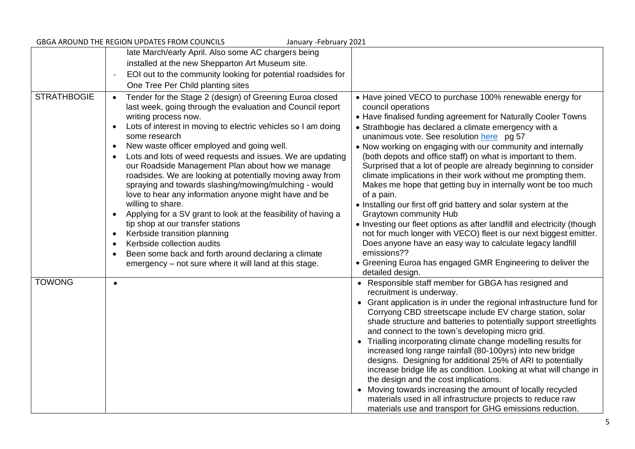| GBGA AROUND THE REGION UPDATES FROM COUNCILS<br>January - February 2021 |                                                                                                                                                                                                                                                                                                                                                                                                                                                                                                                                                                                                                                                                                                                                                                                                                                                                                                                                                                          |                                                                                                                                                                                                                                                                                                                                                                                                                                                                                                                                                                                                                                                                                                                                                                                                                                                                                                                                                                                                                      |
|-------------------------------------------------------------------------|--------------------------------------------------------------------------------------------------------------------------------------------------------------------------------------------------------------------------------------------------------------------------------------------------------------------------------------------------------------------------------------------------------------------------------------------------------------------------------------------------------------------------------------------------------------------------------------------------------------------------------------------------------------------------------------------------------------------------------------------------------------------------------------------------------------------------------------------------------------------------------------------------------------------------------------------------------------------------|----------------------------------------------------------------------------------------------------------------------------------------------------------------------------------------------------------------------------------------------------------------------------------------------------------------------------------------------------------------------------------------------------------------------------------------------------------------------------------------------------------------------------------------------------------------------------------------------------------------------------------------------------------------------------------------------------------------------------------------------------------------------------------------------------------------------------------------------------------------------------------------------------------------------------------------------------------------------------------------------------------------------|
|                                                                         | late March/early April. Also some AC chargers being                                                                                                                                                                                                                                                                                                                                                                                                                                                                                                                                                                                                                                                                                                                                                                                                                                                                                                                      |                                                                                                                                                                                                                                                                                                                                                                                                                                                                                                                                                                                                                                                                                                                                                                                                                                                                                                                                                                                                                      |
|                                                                         | installed at the new Shepparton Art Museum site.                                                                                                                                                                                                                                                                                                                                                                                                                                                                                                                                                                                                                                                                                                                                                                                                                                                                                                                         |                                                                                                                                                                                                                                                                                                                                                                                                                                                                                                                                                                                                                                                                                                                                                                                                                                                                                                                                                                                                                      |
|                                                                         | EOI out to the community looking for potential roadsides for                                                                                                                                                                                                                                                                                                                                                                                                                                                                                                                                                                                                                                                                                                                                                                                                                                                                                                             |                                                                                                                                                                                                                                                                                                                                                                                                                                                                                                                                                                                                                                                                                                                                                                                                                                                                                                                                                                                                                      |
|                                                                         | One Tree Per Child planting sites                                                                                                                                                                                                                                                                                                                                                                                                                                                                                                                                                                                                                                                                                                                                                                                                                                                                                                                                        |                                                                                                                                                                                                                                                                                                                                                                                                                                                                                                                                                                                                                                                                                                                                                                                                                                                                                                                                                                                                                      |
| <b>STRATHBOGIE</b>                                                      | Tender for the Stage 2 (design) of Greening Euroa closed<br>$\bullet$<br>last week, going through the evaluation and Council report<br>writing process now.<br>Lots of interest in moving to electric vehicles so I am doing<br>$\bullet$<br>some research<br>New waste officer employed and going well.<br>$\bullet$<br>Lots and lots of weed requests and issues. We are updating<br>our Roadside Management Plan about how we manage<br>roadsides. We are looking at potentially moving away from<br>spraying and towards slashing/mowing/mulching - would<br>love to hear any information anyone might have and be<br>willing to share.<br>Applying for a SV grant to look at the feasibility of having a<br>$\bullet$<br>tip shop at our transfer stations<br>Kerbside transition planning<br>$\bullet$<br>Kerbside collection audits<br>$\bullet$<br>Been some back and forth around declaring a climate<br>emergency – not sure where it will land at this stage. | • Have joined VECO to purchase 100% renewable energy for<br>council operations<br>• Have finalised funding agreement for Naturally Cooler Towns<br>• Strathbogie has declared a climate emergency with a<br>unanimous vote. See resolution here pg 57<br>• Now working on engaging with our community and internally<br>(both depots and office staff) on what is important to them.<br>Surprised that a lot of people are already beginning to consider<br>climate implications in their work without me prompting them.<br>Makes me hope that getting buy in internally wont be too much<br>of a pain.<br>. Installing our first off grid battery and solar system at the<br>Graytown community Hub<br>• Investing our fleet options as after landfill and electricity (though<br>not for much longer with VECO) fleet is our next biggest emitter.<br>Does anyone have an easy way to calculate legacy landfill<br>emissions??<br>• Greening Euroa has engaged GMR Engineering to deliver the<br>detailed design. |
| <b>TOWONG</b>                                                           | $\bullet$                                                                                                                                                                                                                                                                                                                                                                                                                                                                                                                                                                                                                                                                                                                                                                                                                                                                                                                                                                | • Responsible staff member for GBGA has resigned and<br>recruitment is underway.<br>• Grant application is in under the regional infrastructure fund for<br>Corryong CBD streetscape include EV charge station, solar<br>shade structure and batteries to potentially support streetlights<br>and connect to the town's developing micro grid.<br>• Trialling incorporating climate change modelling results for<br>increased long range rainfall (80-100yrs) into new bridge<br>designs. Designing for additional 25% of ARI to potentially<br>increase bridge life as condition. Looking at what will change in<br>the design and the cost implications.<br>• Moving towards increasing the amount of locally recycled<br>materials used in all infrastructure projects to reduce raw<br>materials use and transport for GHG emissions reduction.                                                                                                                                                                  |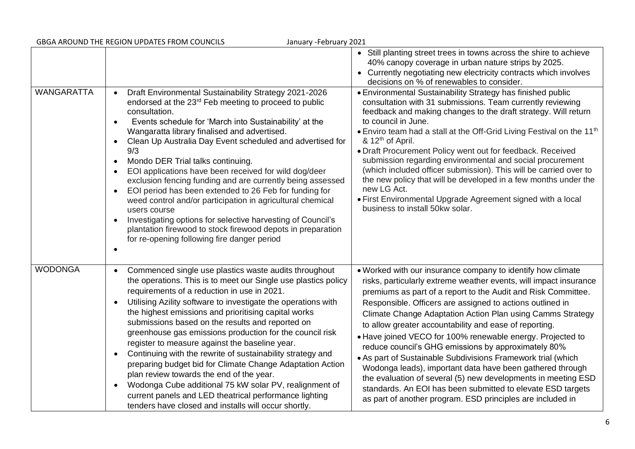| GBGA AROUND THE REGION UPDATES FROM COUNCILS<br>January - February 2021 |                                                                                                                                                                                                                                                                                                                                                                                                                                                                                                                                                                                                                                                                                                                                                                                                                                                                                          |                                                                                                                                                                                                                                                                                                                                                                                                                                                                                                                                                                                                                                                                                                                                                                                                                                        |  |
|-------------------------------------------------------------------------|------------------------------------------------------------------------------------------------------------------------------------------------------------------------------------------------------------------------------------------------------------------------------------------------------------------------------------------------------------------------------------------------------------------------------------------------------------------------------------------------------------------------------------------------------------------------------------------------------------------------------------------------------------------------------------------------------------------------------------------------------------------------------------------------------------------------------------------------------------------------------------------|----------------------------------------------------------------------------------------------------------------------------------------------------------------------------------------------------------------------------------------------------------------------------------------------------------------------------------------------------------------------------------------------------------------------------------------------------------------------------------------------------------------------------------------------------------------------------------------------------------------------------------------------------------------------------------------------------------------------------------------------------------------------------------------------------------------------------------------|--|
|                                                                         |                                                                                                                                                                                                                                                                                                                                                                                                                                                                                                                                                                                                                                                                                                                                                                                                                                                                                          | • Still planting street trees in towns across the shire to achieve<br>40% canopy coverage in urban nature strips by 2025.<br>• Currently negotiating new electricity contracts which involves<br>decisions on % of renewables to consider.                                                                                                                                                                                                                                                                                                                                                                                                                                                                                                                                                                                             |  |
| <b>WANGARATTA</b>                                                       | Draft Environmental Sustainability Strategy 2021-2026<br>$\bullet$<br>endorsed at the 23 <sup>rd</sup> Feb meeting to proceed to public<br>consultation.<br>Events schedule for 'March into Sustainability' at the<br>Wangaratta library finalised and advertised.<br>Clean Up Australia Day Event scheduled and advertised for<br>$\bullet$<br>9/3<br>Mondo DER Trial talks continuing.<br>$\bullet$<br>EOI applications have been received for wild dog/deer<br>$\bullet$<br>exclusion fencing funding and are currently being assessed<br>EOI period has been extended to 26 Feb for funding for<br>$\bullet$<br>weed control and/or participation in agricultural chemical<br>users course<br>Investigating options for selective harvesting of Council's<br>$\bullet$<br>plantation firewood to stock firewood depots in preparation<br>for re-opening following fire danger period | • Environmental Sustainability Strategy has finished public<br>consultation with 31 submissions. Team currently reviewing<br>feedback and making changes to the draft strategy. Will return<br>to council in June.<br>• Enviro team had a stall at the Off-Grid Living Festival on the 11 <sup>th</sup><br>& 12 <sup>th</sup> of April.<br>• Draft Procurement Policy went out for feedback. Received<br>submission regarding environmental and social procurement<br>(which included officer submission). This will be carried over to<br>the new policy that will be developed in a few months under the<br>new LG Act.<br>• First Environmental Upgrade Agreement signed with a local<br>business to install 50kw solar.                                                                                                            |  |
| <b>WODONGA</b>                                                          | Commenced single use plastics waste audits throughout<br>$\bullet$<br>the operations. This is to meet our Single use plastics policy<br>requirements of a reduction in use in 2021.<br>Utilising Azility software to investigate the operations with<br>$\bullet$<br>the highest emissions and prioritising capital works<br>submissions based on the results and reported on<br>greenhouse gas emissions production for the council risk<br>register to measure against the baseline year.<br>Continuing with the rewrite of sustainability strategy and<br>$\bullet$<br>preparing budget bid for Climate Change Adaptation Action<br>plan review towards the end of the year.<br>Wodonga Cube additional 75 kW solar PV, realignment of<br>$\bullet$<br>current panels and LED theatrical performance lighting<br>tenders have closed and installs will occur shortly.                 | . Worked with our insurance company to identify how climate<br>risks, particularly extreme weather events, will impact insurance<br>premiums as part of a report to the Audit and Risk Committee.<br>Responsible. Officers are assigned to actions outlined in<br>Climate Change Adaptation Action Plan using Camms Strategy<br>to allow greater accountability and ease of reporting.<br>• Have joined VECO for 100% renewable energy. Projected to<br>reduce council's GHG emissions by approximately 80%<br>• As part of Sustainable Subdivisions Framework trial (which<br>Wodonga leads), important data have been gathered through<br>the evaluation of several (5) new developments in meeting ESD<br>standards. An EOI has been submitted to elevate ESD targets<br>as part of another program. ESD principles are included in |  |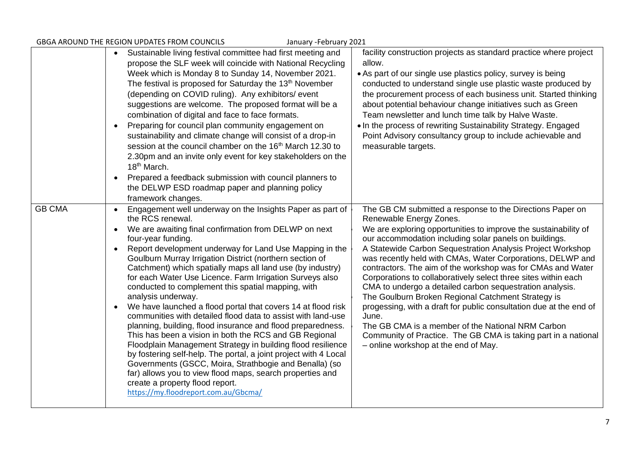| GBGA AROUND THE REGION UPDATES FROM COUNCILS<br>January - February 2021 |                                                                                                                                                                                                                                                                                                                                                                                                                                                                                                                                                                                                                                                                                                                                                                                                                                                                                                                                                                                                                                                                                                                                             |                                                                                                                                                                                                                                                                                                                                                                                                                                                                                                                                                                                                                                                                                                                                                                                                                                                |
|-------------------------------------------------------------------------|---------------------------------------------------------------------------------------------------------------------------------------------------------------------------------------------------------------------------------------------------------------------------------------------------------------------------------------------------------------------------------------------------------------------------------------------------------------------------------------------------------------------------------------------------------------------------------------------------------------------------------------------------------------------------------------------------------------------------------------------------------------------------------------------------------------------------------------------------------------------------------------------------------------------------------------------------------------------------------------------------------------------------------------------------------------------------------------------------------------------------------------------|------------------------------------------------------------------------------------------------------------------------------------------------------------------------------------------------------------------------------------------------------------------------------------------------------------------------------------------------------------------------------------------------------------------------------------------------------------------------------------------------------------------------------------------------------------------------------------------------------------------------------------------------------------------------------------------------------------------------------------------------------------------------------------------------------------------------------------------------|
|                                                                         | Sustainable living festival committee had first meeting and<br>$\bullet$<br>propose the SLF week will coincide with National Recycling<br>Week which is Monday 8 to Sunday 14, November 2021.<br>The festival is proposed for Saturday the 13 <sup>th</sup> November<br>(depending on COVID ruling). Any exhibitors/ event<br>suggestions are welcome. The proposed format will be a<br>combination of digital and face to face formats.<br>Preparing for council plan community engagement on<br>$\bullet$<br>sustainability and climate change will consist of a drop-in<br>session at the council chamber on the 16 <sup>th</sup> March 12.30 to<br>2.30pm and an invite only event for key stakeholders on the<br>18 <sup>th</sup> March.<br>Prepared a feedback submission with council planners to<br>$\bullet$<br>the DELWP ESD roadmap paper and planning policy<br>framework changes.                                                                                                                                                                                                                                              | facility construction projects as standard practice where project<br>allow.<br>• As part of our single use plastics policy, survey is being<br>conducted to understand single use plastic waste produced by<br>the procurement process of each business unit. Started thinking<br>about potential behaviour change initiatives such as Green<br>Team newsletter and lunch time talk by Halve Waste.<br>• In the process of rewriting Sustainability Strategy. Engaged<br>Point Advisory consultancy group to include achievable and<br>measurable targets.                                                                                                                                                                                                                                                                                     |
| <b>GB CMA</b>                                                           | Engagement well underway on the Insights Paper as part of<br>$\bullet$<br>the RCS renewal.<br>We are awaiting final confirmation from DELWP on next<br>$\bullet$<br>four-year funding.<br>Report development underway for Land Use Mapping in the<br>$\bullet$<br>Goulburn Murray Irrigation District (northern section of<br>Catchment) which spatially maps all land use (by industry)<br>for each Water Use Licence. Farm Irrigation Surveys also<br>conducted to complement this spatial mapping, with<br>analysis underway.<br>We have launched a flood portal that covers 14 at flood risk<br>$\bullet$<br>communities with detailed flood data to assist with land-use<br>planning, building, flood insurance and flood preparedness.<br>This has been a vision in both the RCS and GB Regional<br>Floodplain Management Strategy in building flood resilience<br>by fostering self-help. The portal, a joint project with 4 Local<br>Governments (GSCC, Moira, Strathbogie and Benalla) (so<br>far) allows you to view flood maps, search properties and<br>create a property flood report.<br>https://my.floodreport.com.au/Gbcma/ | The GB CM submitted a response to the Directions Paper on<br>Renewable Energy Zones.<br>We are exploring opportunities to improve the sustainability of<br>our accommodation including solar panels on buildings.<br>A Statewide Carbon Sequestration Analysis Project Workshop<br>was recently held with CMAs, Water Corporations, DELWP and<br>contractors. The aim of the workshop was for CMAs and Water<br>Corporations to collaboratively select three sites within each<br>CMA to undergo a detailed carbon sequestration analysis.<br>The Goulburn Broken Regional Catchment Strategy is<br>progessing, with a draft for public consultation due at the end of<br>June.<br>The GB CMA is a member of the National NRM Carbon<br>Community of Practice. The GB CMA is taking part in a national<br>- online workshop at the end of May. |